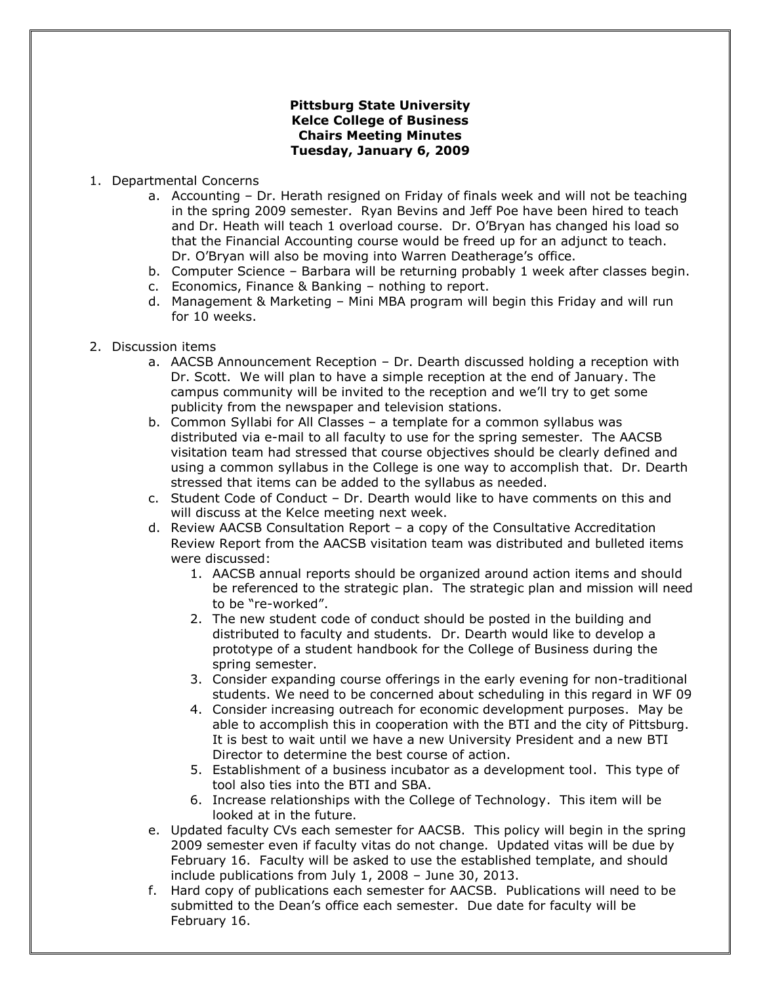## **Pittsburg State University Kelce College of Business Chairs Meeting Minutes Tuesday, January 6, 2009**

- 1. Departmental Concerns
	- a. Accounting Dr. Herath resigned on Friday of finals week and will not be teaching in the spring 2009 semester. Ryan Bevins and Jeff Poe have been hired to teach and Dr. Heath will teach 1 overload course. Dr. O'Bryan has changed his load so that the Financial Accounting course would be freed up for an adjunct to teach. Dr. O'Bryan will also be moving into Warren Deatherage's office.
	- b. Computer Science Barbara will be returning probably 1 week after classes begin.
	- c. Economics, Finance & Banking nothing to report.
	- d. Management & Marketing Mini MBA program will begin this Friday and will run for 10 weeks.
- 2. Discussion items
	- a. AACSB Announcement Reception Dr. Dearth discussed holding a reception with Dr. Scott. We will plan to have a simple reception at the end of January. The campus community will be invited to the reception and we'll try to get some publicity from the newspaper and television stations.
	- b. Common Syllabi for All Classes a template for a common syllabus was distributed via e-mail to all faculty to use for the spring semester. The AACSB visitation team had stressed that course objectives should be clearly defined and using a common syllabus in the College is one way to accomplish that. Dr. Dearth stressed that items can be added to the syllabus as needed.
	- c. Student Code of Conduct Dr. Dearth would like to have comments on this and will discuss at the Kelce meeting next week.
	- d. Review AACSB Consultation Report a copy of the Consultative Accreditation Review Report from the AACSB visitation team was distributed and bulleted items were discussed:
		- 1. AACSB annual reports should be organized around action items and should be referenced to the strategic plan. The strategic plan and mission will need to be "re-worked".
		- 2. The new student code of conduct should be posted in the building and distributed to faculty and students. Dr. Dearth would like to develop a prototype of a student handbook for the College of Business during the spring semester.
		- 3. Consider expanding course offerings in the early evening for non-traditional students. We need to be concerned about scheduling in this regard in WF 09
		- 4. Consider increasing outreach for economic development purposes. May be able to accomplish this in cooperation with the BTI and the city of Pittsburg. It is best to wait until we have a new University President and a new BTI Director to determine the best course of action.
		- 5. Establishment of a business incubator as a development tool. This type of tool also ties into the BTI and SBA.
		- 6. Increase relationships with the College of Technology. This item will be looked at in the future.
	- e. Updated faculty CVs each semester for AACSB. This policy will begin in the spring 2009 semester even if faculty vitas do not change. Updated vitas will be due by February 16. Faculty will be asked to use the established template, and should include publications from July 1, 2008 – June 30, 2013.
	- f. Hard copy of publications each semester for AACSB. Publications will need to be submitted to the Dean's office each semester. Due date for faculty will be February 16.